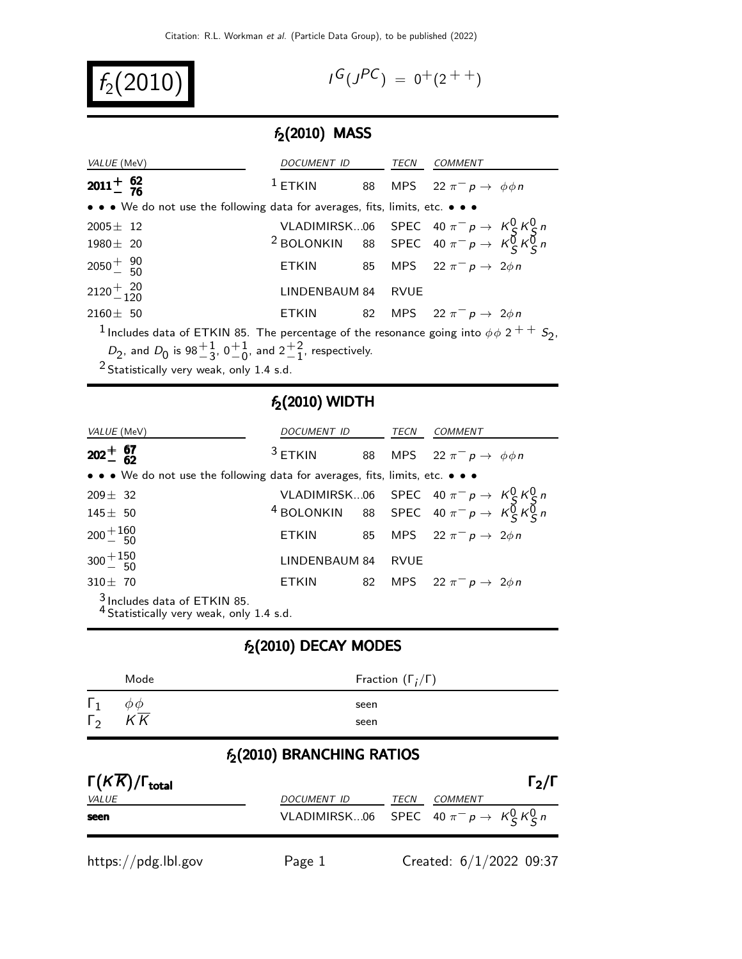$f_2(2010)$  |

$$
I^G(J^{PC}) = 0^+(2^{++})
$$

### $f_2(2010)$  MASS

| VALUE (MeV)                                                                                                                      | DOCUMENT ID        |  | TECN | <i>COMMENT</i>                                                                                                                   |  |
|----------------------------------------------------------------------------------------------------------------------------------|--------------------|--|------|----------------------------------------------------------------------------------------------------------------------------------|--|
| $2011 + 62$                                                                                                                      | $^1$ ETKIN         |  |      | 88 MPS 22 $\pi^- p \rightarrow \phi \phi n$                                                                                      |  |
| • • • We do not use the following data for averages, fits, limits, etc. • • •                                                    |                    |  |      |                                                                                                                                  |  |
| $2005 \pm 12$                                                                                                                    |                    |  |      |                                                                                                                                  |  |
| $1980 \pm 20$                                                                                                                    |                    |  |      | VLADIMIRSK06 SPEC 40 $\pi^- p \rightarrow K_S^0 K_S^0 n$<br><sup>2</sup> BOLONKIN 88 SPEC 40 $\pi^- p \rightarrow K_S^0 K_S^0 n$ |  |
| $2050 + \frac{90}{50}$                                                                                                           |                    |  |      | ETKIN 85 MPS $22 \pi^- p \rightarrow 2 \phi n$                                                                                   |  |
| $2120 + \frac{20}{120}$                                                                                                          | LINDENBAUM 84 RVUE |  |      |                                                                                                                                  |  |
| $2160 \pm 50$                                                                                                                    |                    |  |      | ETKIN 82 MPS $22 \pi^- p \rightarrow 2\phi n$                                                                                    |  |
| <sup>1</sup> Includes data of ETKIN 85. The percentage of the resonance going into $\phi \phi$ 2 <sup>+ +</sup> S <sub>2</sub> , |                    |  |      |                                                                                                                                  |  |
| $D_2$ , and $D_0$ is 98 $\frac{+1}{3}$ , 0 $\frac{+1}{0}$ , and 2 $\frac{+2}{1}$ , respectively.                                 |                    |  |      |                                                                                                                                  |  |

 $^2$  Statistically very weak, only 1.4 s.d.

#### $f_2(2010)$  WIDTH

| <i>VALUE</i> (MeV)                                                            | DOCUMENT ID TECN |  |             | COMMENT                                                                                                               |
|-------------------------------------------------------------------------------|------------------|--|-------------|-----------------------------------------------------------------------------------------------------------------------|
| $202^{+}_{-}$ 67                                                              | $3$ ETKIN        |  |             | 88 MPS 22 $\pi^ p \to \phi \phi n$                                                                                    |
| • • • We do not use the following data for averages, fits, limits, etc. • • • |                  |  |             |                                                                                                                       |
| $209 \pm 32$                                                                  |                  |  |             |                                                                                                                       |
| $145 \pm 50$                                                                  |                  |  |             | VLADIMIRSK06 SPEC 40 $\pi^- p \rightarrow K_S^0 K_S^0 n$<br>4 BOLONKIN 88 SPEC 40 $\pi^- p \rightarrow K_S^0 K_S^0 n$ |
| $200 + {160 \over 50}$                                                        |                  |  |             | ETKIN 85 MPS $22 \pi^- p \rightarrow 2 \phi n$                                                                        |
| $300 + {150 \over 50}$                                                        | LINDENBAUM 84    |  | <b>RVUE</b> |                                                                                                                       |
| $310 \pm 70$                                                                  | <b>ETKIN</b>     |  |             | 82 MPS 22 $\pi^{-} p \to 2\phi n$                                                                                     |
| $\frac{3}{2}$ Includes data of ETKIN 85.                                      |                  |  |             |                                                                                                                       |

 $4$  Statistically very weak, only 1.4 s.d.

#### $f_2(2010)$  DECAY MODES

|              | Mode            | Fraction $(\Gamma_i/\Gamma)$ |
|--------------|-----------------|------------------------------|
| $\Gamma_{2}$ | $K\overline{K}$ | seen<br>seen                 |

## $f_2(2010)$  BRANCHING RATIOS

| $\Gamma(K\overline{K})/\Gamma_{\rm total}$ |                                                  |      |                         | $\Gamma_2/\Gamma$ |
|--------------------------------------------|--------------------------------------------------|------|-------------------------|-------------------|
| <i>VALUE</i>                               | DOCUMENT ID                                      | TECN | <i>COMMENT</i>          |                   |
| seen                                       | VLADIMIRSK06 SPEC 40 $\pi^- p \to K^0_S K^0_S n$ |      |                         |                   |
| https://pdg.lbl.gov                        | Page 1                                           |      | Created: 6/1/2022 09:37 |                   |